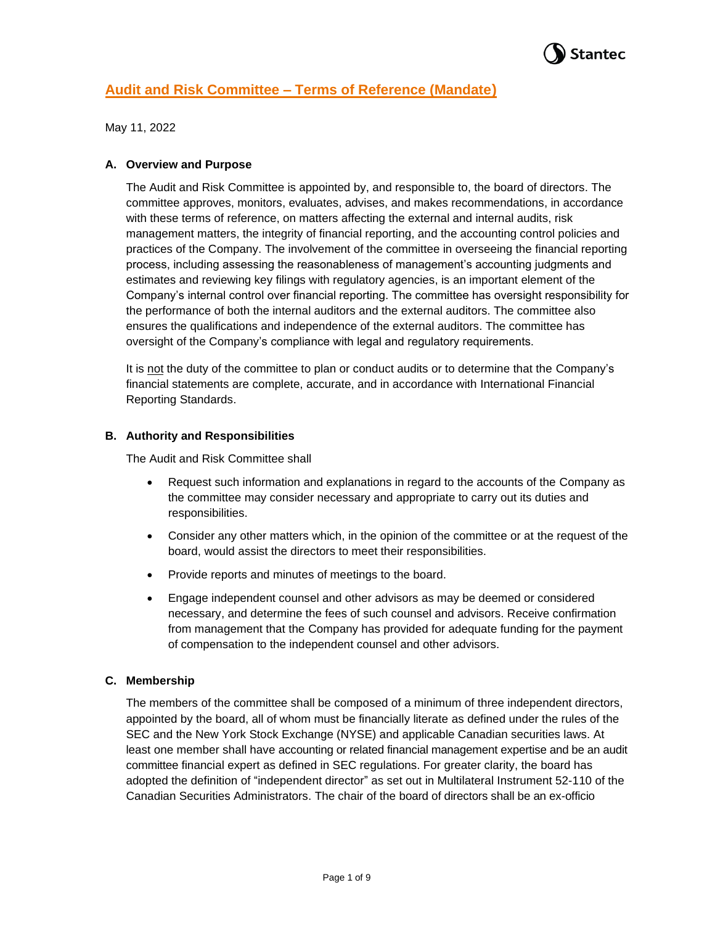

May 11, 2022

### **A. Overview and Purpose**

The Audit and Risk Committee is appointed by, and responsible to, the board of directors. The committee approves, monitors, evaluates, advises, and makes recommendations, in accordance with these terms of reference, on matters affecting the external and internal audits, risk management matters, the integrity of financial reporting, and the accounting control policies and practices of the Company. The involvement of the committee in overseeing the financial reporting process, including assessing the reasonableness of management's accounting judgments and estimates and reviewing key filings with regulatory agencies, is an important element of the Company's internal control over financial reporting. The committee has oversight responsibility for the performance of both the internal auditors and the external auditors. The committee also ensures the qualifications and independence of the external auditors. The committee has oversight of the Company's compliance with legal and regulatory requirements.

It is not the duty of the committee to plan or conduct audits or to determine that the Company's financial statements are complete, accurate, and in accordance with International Financial Reporting Standards.

### **B. Authority and Responsibilities**

The Audit and Risk Committee shall

- Request such information and explanations in regard to the accounts of the Company as the committee may consider necessary and appropriate to carry out its duties and responsibilities.
- Consider any other matters which, in the opinion of the committee or at the request of the board, would assist the directors to meet their responsibilities.
- Provide reports and minutes of meetings to the board.
- Engage independent counsel and other advisors as may be deemed or considered necessary, and determine the fees of such counsel and advisors. Receive confirmation from management that the Company has provided for adequate funding for the payment of compensation to the independent counsel and other advisors.

## **C. Membership**

The members of the committee shall be composed of a minimum of three independent directors, appointed by the board, all of whom must be financially literate as defined under the rules of the SEC and the New York Stock Exchange (NYSE) and applicable Canadian securities laws. At least one member shall have accounting or related financial management expertise and be an audit committee financial expert as defined in SEC regulations. For greater clarity, the board has adopted the definition of "independent director" as set out in Multilateral Instrument 52-110 of the Canadian Securities Administrators. The chair of the board of directors shall be an ex-officio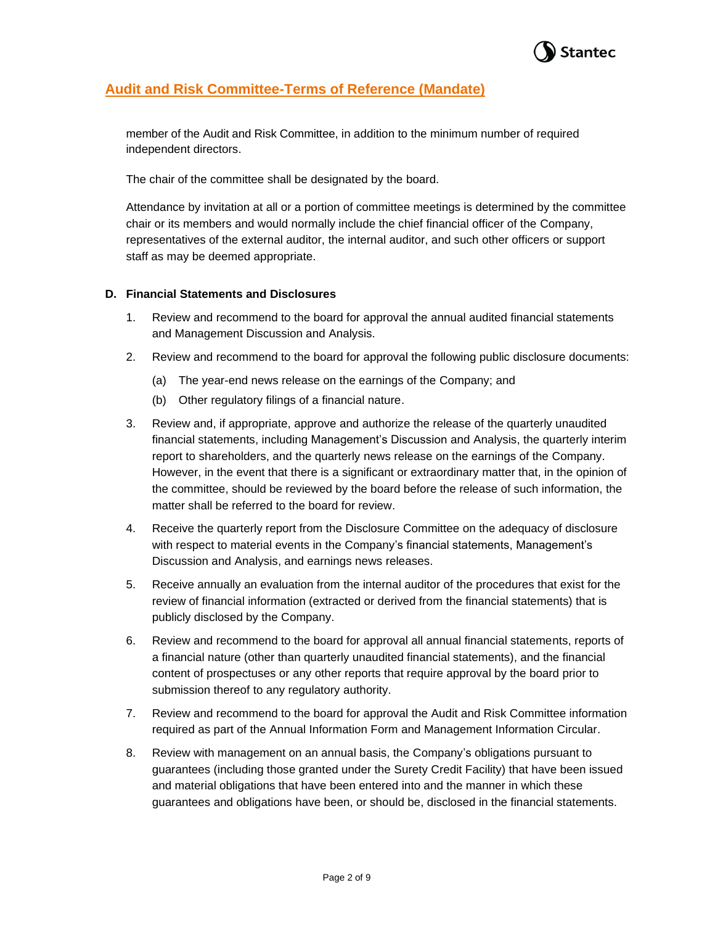

member of the Audit and Risk Committee, in addition to the minimum number of required independent directors.

The chair of the committee shall be designated by the board.

Attendance by invitation at all or a portion of committee meetings is determined by the committee chair or its members and would normally include the chief financial officer of the Company, representatives of the external auditor, the internal auditor, and such other officers or support staff as may be deemed appropriate.

### **D. Financial Statements and Disclosures**

- 1. Review and recommend to the board for approval the annual audited financial statements and Management Discussion and Analysis.
- 2. Review and recommend to the board for approval the following public disclosure documents:
	- (a) The year-end news release on the earnings of the Company; and
	- (b) Other regulatory filings of a financial nature.
- 3. Review and, if appropriate, approve and authorize the release of the quarterly unaudited financial statements, including Management's Discussion and Analysis, the quarterly interim report to shareholders, and the quarterly news release on the earnings of the Company. However, in the event that there is a significant or extraordinary matter that, in the opinion of the committee, should be reviewed by the board before the release of such information, the matter shall be referred to the board for review.
- 4. Receive the quarterly report from the Disclosure Committee on the adequacy of disclosure with respect to material events in the Company's financial statements, Management's Discussion and Analysis, and earnings news releases.
- 5. Receive annually an evaluation from the internal auditor of the procedures that exist for the review of financial information (extracted or derived from the financial statements) that is publicly disclosed by the Company.
- 6. Review and recommend to the board for approval all annual financial statements, reports of a financial nature (other than quarterly unaudited financial statements), and the financial content of prospectuses or any other reports that require approval by the board prior to submission thereof to any regulatory authority.
- 7. Review and recommend to the board for approval the Audit and Risk Committee information required as part of the Annual Information Form and Management Information Circular.
- 8. Review with management on an annual basis, the Company's obligations pursuant to guarantees (including those granted under the Surety Credit Facility) that have been issued and material obligations that have been entered into and the manner in which these guarantees and obligations have been, or should be, disclosed in the financial statements.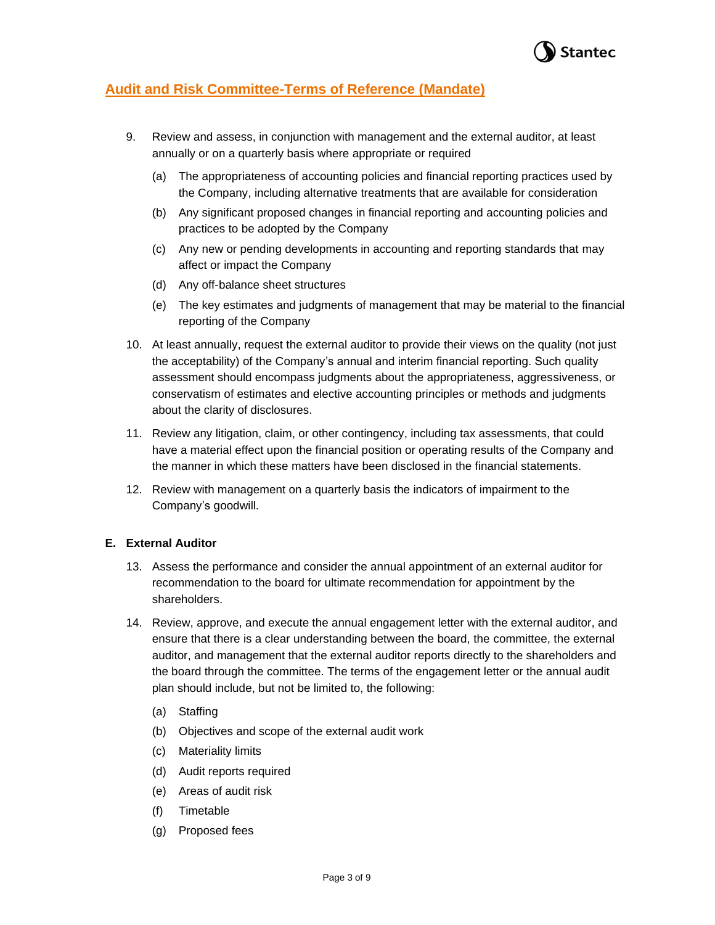

- 9. Review and assess, in conjunction with management and the external auditor, at least annually or on a quarterly basis where appropriate or required
	- (a) The appropriateness of accounting policies and financial reporting practices used by the Company, including alternative treatments that are available for consideration
	- (b) Any significant proposed changes in financial reporting and accounting policies and practices to be adopted by the Company
	- (c) Any new or pending developments in accounting and reporting standards that may affect or impact the Company
	- (d) Any off-balance sheet structures
	- (e) The key estimates and judgments of management that may be material to the financial reporting of the Company
- 10. At least annually, request the external auditor to provide their views on the quality (not just the acceptability) of the Company's annual and interim financial reporting. Such quality assessment should encompass judgments about the appropriateness, aggressiveness, or conservatism of estimates and elective accounting principles or methods and judgments about the clarity of disclosures.
- 11. Review any litigation, claim, or other contingency, including tax assessments, that could have a material effect upon the financial position or operating results of the Company and the manner in which these matters have been disclosed in the financial statements.
- 12. Review with management on a quarterly basis the indicators of impairment to the Company's goodwill.

## **E. External Auditor**

- 13. Assess the performance and consider the annual appointment of an external auditor for recommendation to the board for ultimate recommendation for appointment by the shareholders.
- 14. Review, approve, and execute the annual engagement letter with the external auditor, and ensure that there is a clear understanding between the board, the committee, the external auditor, and management that the external auditor reports directly to the shareholders and the board through the committee. The terms of the engagement letter or the annual audit plan should include, but not be limited to, the following:
	- (a) Staffing
	- (b) Objectives and scope of the external audit work
	- (c) Materiality limits
	- (d) Audit reports required
	- (e) Areas of audit risk
	- (f) Timetable
	- (g) Proposed fees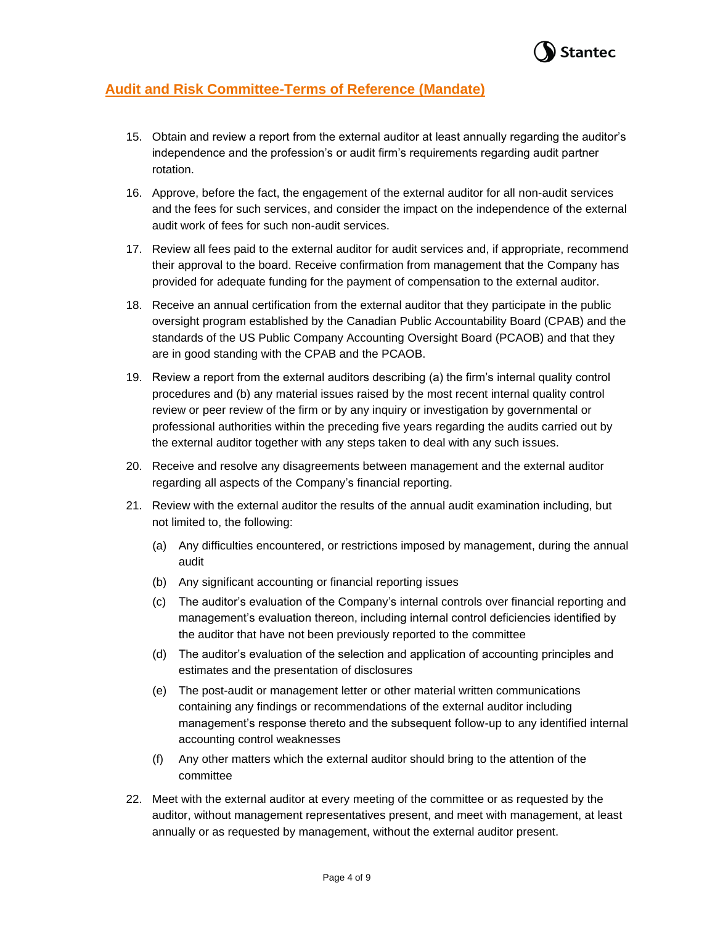

- 15. Obtain and review a report from the external auditor at least annually regarding the auditor's independence and the profession's or audit firm's requirements regarding audit partner rotation.
- 16. Approve, before the fact, the engagement of the external auditor for all non-audit services and the fees for such services, and consider the impact on the independence of the external audit work of fees for such non-audit services.
- 17. Review all fees paid to the external auditor for audit services and, if appropriate, recommend their approval to the board. Receive confirmation from management that the Company has provided for adequate funding for the payment of compensation to the external auditor.
- 18. Receive an annual certification from the external auditor that they participate in the public oversight program established by the Canadian Public Accountability Board (CPAB) and the standards of the US Public Company Accounting Oversight Board (PCAOB) and that they are in good standing with the CPAB and the PCAOB.
- 19. Review a report from the external auditors describing (a) the firm's internal quality control procedures and (b) any material issues raised by the most recent internal quality control review or peer review of the firm or by any inquiry or investigation by governmental or professional authorities within the preceding five years regarding the audits carried out by the external auditor together with any steps taken to deal with any such issues.
- 20. Receive and resolve any disagreements between management and the external auditor regarding all aspects of the Company's financial reporting.
- 21. Review with the external auditor the results of the annual audit examination including, but not limited to, the following:
	- (a) Any difficulties encountered, or restrictions imposed by management, during the annual audit
	- (b) Any significant accounting or financial reporting issues
	- (c) The auditor's evaluation of the Company's internal controls over financial reporting and management's evaluation thereon, including internal control deficiencies identified by the auditor that have not been previously reported to the committee
	- (d) The auditor's evaluation of the selection and application of accounting principles and estimates and the presentation of disclosures
	- (e) The post-audit or management letter or other material written communications containing any findings or recommendations of the external auditor including management's response thereto and the subsequent follow-up to any identified internal accounting control weaknesses
	- (f) Any other matters which the external auditor should bring to the attention of the committee
- 22. Meet with the external auditor at every meeting of the committee or as requested by the auditor, without management representatives present, and meet with management, at least annually or as requested by management, without the external auditor present.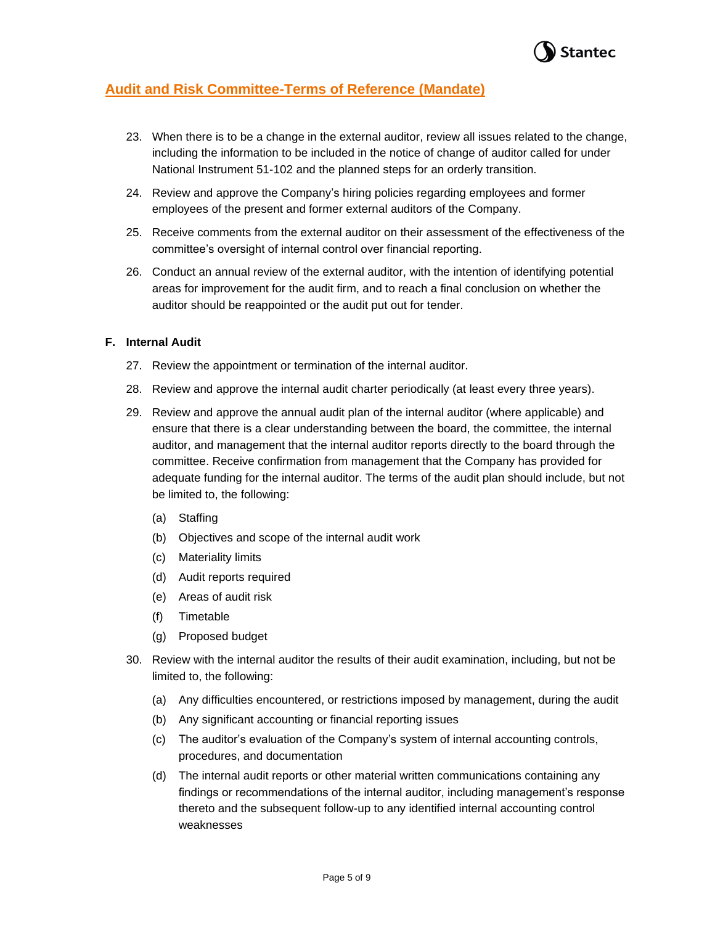

- 23. When there is to be a change in the external auditor, review all issues related to the change, including the information to be included in the notice of change of auditor called for under National Instrument 51-102 and the planned steps for an orderly transition.
- 24. Review and approve the Company's hiring policies regarding employees and former employees of the present and former external auditors of the Company.
- 25. Receive comments from the external auditor on their assessment of the effectiveness of the committee's oversight of internal control over financial reporting.
- 26. Conduct an annual review of the external auditor, with the intention of identifying potential areas for improvement for the audit firm, and to reach a final conclusion on whether the auditor should be reappointed or the audit put out for tender.

### **F. Internal Audit**

- 27. Review the appointment or termination of the internal auditor.
- 28. Review and approve the internal audit charter periodically (at least every three years).
- 29. Review and approve the annual audit plan of the internal auditor (where applicable) and ensure that there is a clear understanding between the board, the committee, the internal auditor, and management that the internal auditor reports directly to the board through the committee. Receive confirmation from management that the Company has provided for adequate funding for the internal auditor. The terms of the audit plan should include, but not be limited to, the following:
	- (a) Staffing
	- (b) Objectives and scope of the internal audit work
	- (c) Materiality limits
	- (d) Audit reports required
	- (e) Areas of audit risk
	- (f) Timetable
	- (g) Proposed budget
- 30. Review with the internal auditor the results of their audit examination, including, but not be limited to, the following:
	- (a) Any difficulties encountered, or restrictions imposed by management, during the audit
	- (b) Any significant accounting or financial reporting issues
	- (c) The auditor's evaluation of the Company's system of internal accounting controls, procedures, and documentation
	- (d) The internal audit reports or other material written communications containing any findings or recommendations of the internal auditor, including management's response thereto and the subsequent follow-up to any identified internal accounting control weaknesses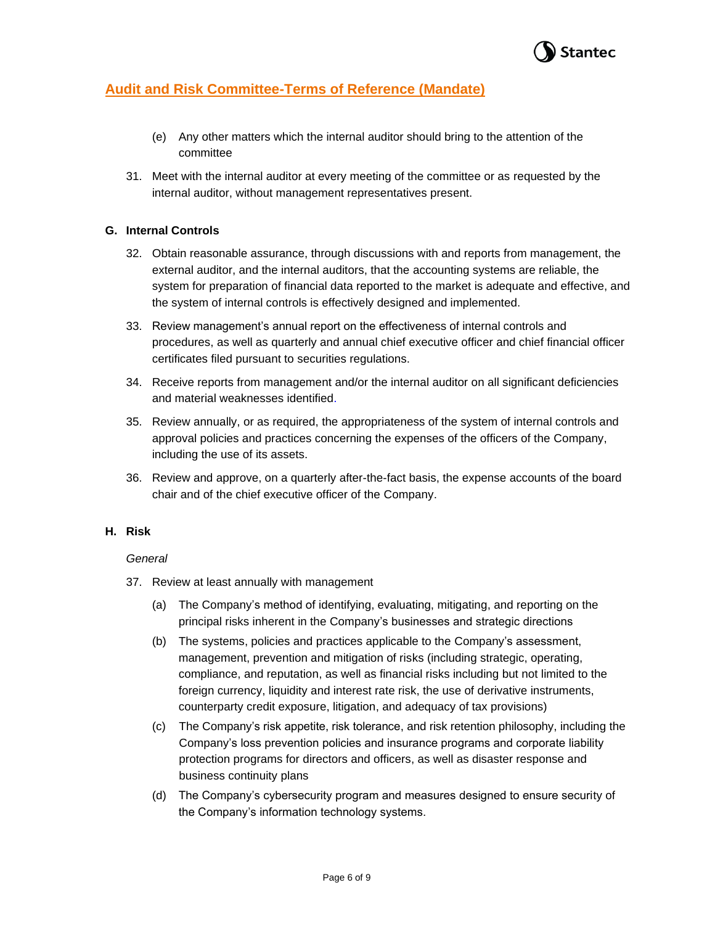

- (e) Any other matters which the internal auditor should bring to the attention of the committee
- 31. Meet with the internal auditor at every meeting of the committee or as requested by the internal auditor, without management representatives present.

## **G. Internal Controls**

- 32. Obtain reasonable assurance, through discussions with and reports from management, the external auditor, and the internal auditors, that the accounting systems are reliable, the system for preparation of financial data reported to the market is adequate and effective, and the system of internal controls is effectively designed and implemented.
- 33. Review management's annual report on the effectiveness of internal controls and procedures, as well as quarterly and annual chief executive officer and chief financial officer certificates filed pursuant to securities regulations.
- 34. Receive reports from management and/or the internal auditor on all significant deficiencies and material weaknesses identified.
- 35. Review annually, or as required, the appropriateness of the system of internal controls and approval policies and practices concerning the expenses of the officers of the Company, including the use of its assets.
- 36. Review and approve, on a quarterly after-the-fact basis, the expense accounts of the board chair and of the chief executive officer of the Company.

### **H. Risk**

### *General*

- 37. Review at least annually with management
	- (a) The Company's method of identifying, evaluating, mitigating, and reporting on the principal risks inherent in the Company's businesses and strategic directions
	- (b) The systems, policies and practices applicable to the Company's assessment, management, prevention and mitigation of risks (including strategic, operating, compliance, and reputation, as well as financial risks including but not limited to the foreign currency, liquidity and interest rate risk, the use of derivative instruments, counterparty credit exposure, litigation, and adequacy of tax provisions)
	- (c) The Company's risk appetite, risk tolerance, and risk retention philosophy, including the Company's loss prevention policies and insurance programs and corporate liability protection programs for directors and officers, as well as disaster response and business continuity plans
	- (d) The Company's cybersecurity program and measures designed to ensure security of the Company's information technology systems.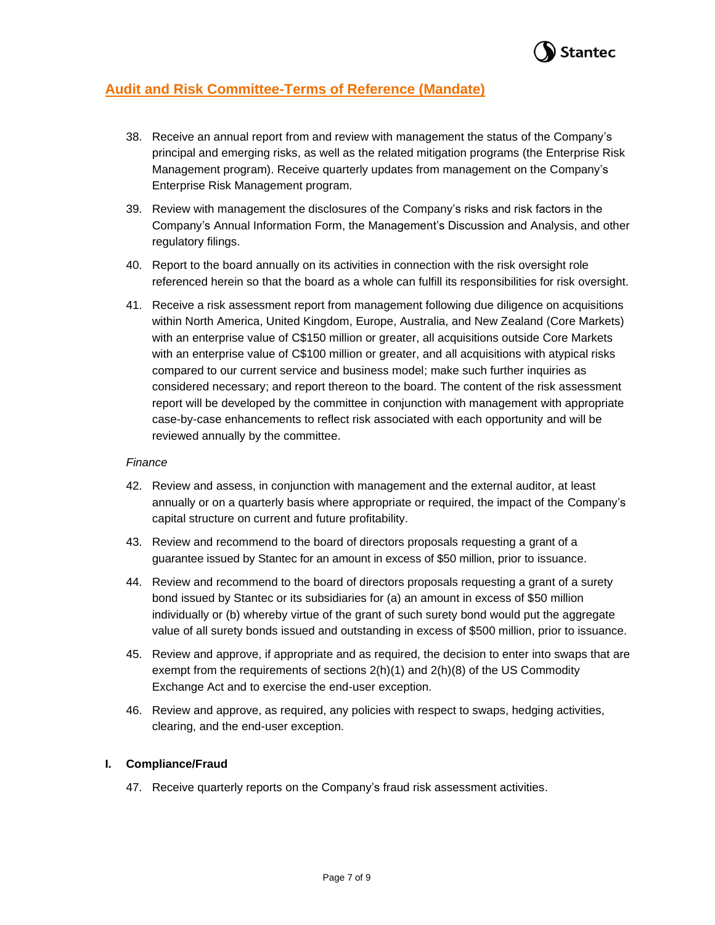

- 38. Receive an annual report from and review with management the status of the Company's principal and emerging risks, as well as the related mitigation programs (the Enterprise Risk Management program). Receive quarterly updates from management on the Company's Enterprise Risk Management program.
- 39. Review with management the disclosures of the Company's risks and risk factors in the Company's Annual Information Form, the Management's Discussion and Analysis, and other regulatory filings.
- 40. Report to the board annually on its activities in connection with the risk oversight role referenced herein so that the board as a whole can fulfill its responsibilities for risk oversight.
- 41. Receive a risk assessment report from management following due diligence on acquisitions within North America, United Kingdom, Europe, Australia, and New Zealand (Core Markets) with an enterprise value of C\$150 million or greater, all acquisitions outside Core Markets with an enterprise value of C\$100 million or greater, and all acquisitions with atypical risks compared to our current service and business model; make such further inquiries as considered necessary; and report thereon to the board. The content of the risk assessment report will be developed by the committee in conjunction with management with appropriate case-by-case enhancements to reflect risk associated with each opportunity and will be reviewed annually by the committee.

### *Finance*

- 42. Review and assess, in conjunction with management and the external auditor, at least annually or on a quarterly basis where appropriate or required, the impact of the Company's capital structure on current and future profitability.
- 43. Review and recommend to the board of directors proposals requesting a grant of a guarantee issued by Stantec for an amount in excess of \$50 million, prior to issuance.
- 44. Review and recommend to the board of directors proposals requesting a grant of a surety bond issued by Stantec or its subsidiaries for (a) an amount in excess of \$50 million individually or (b) whereby virtue of the grant of such surety bond would put the aggregate value of all surety bonds issued and outstanding in excess of \$500 million, prior to issuance.
- 45. Review and approve, if appropriate and as required, the decision to enter into swaps that are exempt from the requirements of sections 2(h)(1) and 2(h)(8) of the US Commodity Exchange Act and to exercise the end-user exception.
- 46. Review and approve, as required, any policies with respect to swaps, hedging activities, clearing, and the end-user exception.

### **I. Compliance/Fraud**

47. Receive quarterly reports on the Company's fraud risk assessment activities.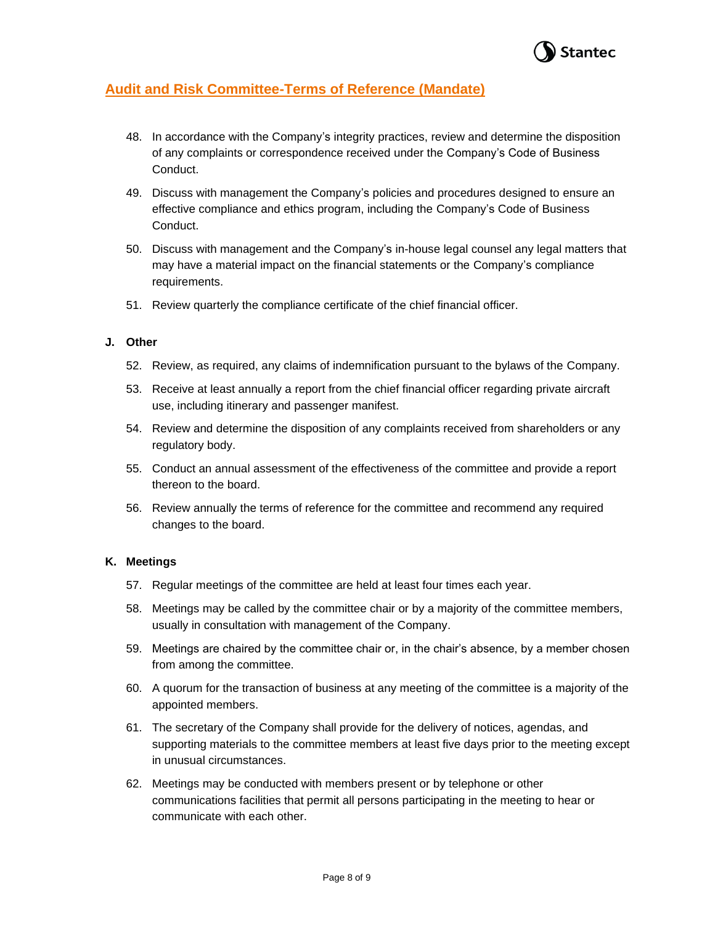

- 48. In accordance with the Company's integrity practices, review and determine the disposition of any complaints or correspondence received under the Company's Code of Business Conduct.
- 49. Discuss with management the Company's policies and procedures designed to ensure an effective compliance and ethics program, including the Company's Code of Business Conduct.
- 50. Discuss with management and the Company's in-house legal counsel any legal matters that may have a material impact on the financial statements or the Company's compliance requirements.
- 51. Review quarterly the compliance certificate of the chief financial officer.

### **J. Other**

- 52. Review, as required, any claims of indemnification pursuant to the bylaws of the Company.
- 53. Receive at least annually a report from the chief financial officer regarding private aircraft use, including itinerary and passenger manifest.
- 54. Review and determine the disposition of any complaints received from shareholders or any regulatory body.
- 55. Conduct an annual assessment of the effectiveness of the committee and provide a report thereon to the board.
- 56. Review annually the terms of reference for the committee and recommend any required changes to the board.

### **K. Meetings**

- 57. Regular meetings of the committee are held at least four times each year.
- 58. Meetings may be called by the committee chair or by a majority of the committee members, usually in consultation with management of the Company.
- 59. Meetings are chaired by the committee chair or, in the chair's absence, by a member chosen from among the committee.
- 60. A quorum for the transaction of business at any meeting of the committee is a majority of the appointed members.
- 61. The secretary of the Company shall provide for the delivery of notices, agendas, and supporting materials to the committee members at least five days prior to the meeting except in unusual circumstances.
- 62. Meetings may be conducted with members present or by telephone or other communications facilities that permit all persons participating in the meeting to hear or communicate with each other.